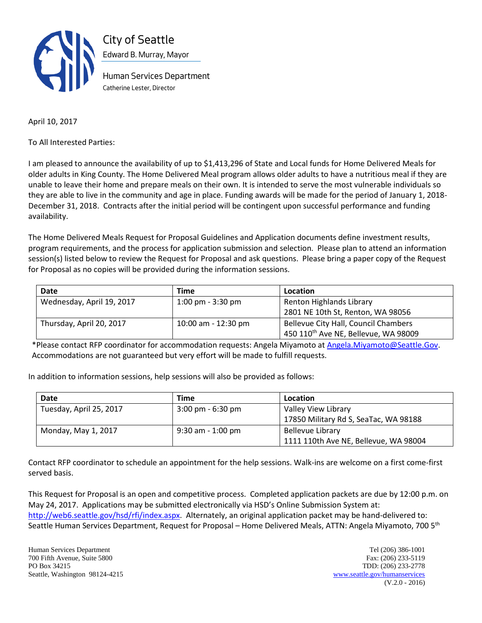

April 10, 2017

To All Interested Parties:

I am pleased to announce the availability of up to \$1,413,296 of State and Local funds for Home Delivered Meals for older adults in King County. The Home Delivered Meal program allows older adults to have a nutritious meal if they are unable to leave their home and prepare meals on their own. It is intended to serve the most vulnerable individuals so they are able to live in the community and age in place. Funding awards will be made for the period of January 1, 2018- December 31, 2018. Contracts after the initial period will be contingent upon successful performance and funding availability.

The Home Delivered Meals Request for Proposal Guidelines and Application documents define investment results, program requirements, and the process for application submission and selection. Please plan to attend an information session(s) listed below to review the Request for Proposal and ask questions. Please bring a paper copy of the Request for Proposal as no copies will be provided during the information sessions.

| Date                      | Time                                | Location                                         |
|---------------------------|-------------------------------------|--------------------------------------------------|
| Wednesday, April 19, 2017 | $1:00 \text{ pm} - 3:30 \text{ pm}$ | Renton Highlands Library                         |
|                           |                                     | 2801 NE 10th St, Renton, WA 98056                |
| Thursday, April 20, 2017  | 10:00 am - 12:30 pm                 | Bellevue City Hall, Council Chambers             |
|                           |                                     | 450 110 <sup>th</sup> Ave NE, Bellevue, WA 98009 |

\*Please contact RFP coordinator for accommodation requests: Angela Miyamoto at [Angela.Miyamoto@Seattle.Gov.](mailto:Angela.Miyamoto@Seattle.Gov) Accommodations are not guaranteed but very effort will be made to fulfill requests.

In addition to information sessions, help sessions will also be provided as follows:

| Date                    | Time                                | Location                              |
|-------------------------|-------------------------------------|---------------------------------------|
| Tuesday, April 25, 2017 | $3:00 \text{ pm} - 6:30 \text{ pm}$ | Valley View Library                   |
|                         |                                     | 17850 Military Rd S, SeaTac, WA 98188 |
| Monday, May 1, 2017     | $9:30$ am - 1:00 pm                 | <b>Bellevue Library</b>               |
|                         |                                     | 1111 110th Ave NE, Bellevue, WA 98004 |

Contact RFP coordinator to schedule an appointment for the help sessions. Walk-ins are welcome on a first come-first served basis.

This Request for Proposal is an open and competitive process. Completed application packets are due by 12:00 p.m. on May 24, 2017. Applications may be submitted electronically via HSD's Online Submission System at: [http://web6.seattle.gov/hsd/rfi/index.aspx.](http://web6.seattle.gov/hsd/rfi/index.aspx) Alternately, an original application packet may be hand-delivered to: Seattle Human Services Department, Request for Proposal – Home Delivered Meals, ATTN: Angela Miyamoto, 700 5th

Human Services Department Tel (206) 386-1001 700 Fifth Avenue, Suite 5800 Fax: (206) 233-5119 PO Box 34215 TDD: (206) 233-2778 Seattle, Washington 98124-4215 [www.seattle.gov/humanservices](http://www.seattle.gov/humanservices)